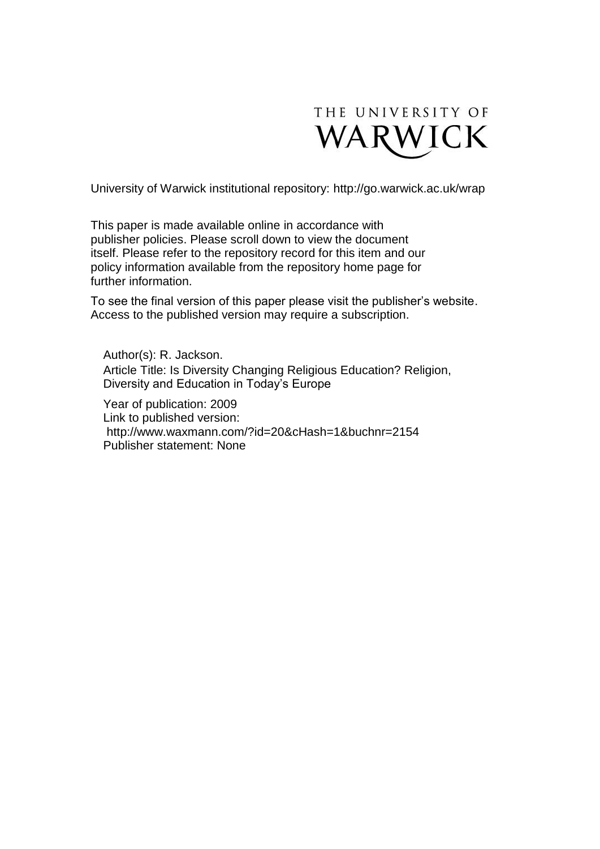

University of Warwick institutional repository:<http://go.warwick.ac.uk/wrap>

This paper is made available online in accordance with publisher policies. Please scroll down to view the document itself. Please refer to the repository record for this item and our policy information available from the repository home page for further information.

To see the final version of this paper please visit the publisher's website. Access to the published version may require a subscription.

Author(s): R. Jackson. Article Title: Is Diversity Changing Religious Education? Religion, Diversity and Education in Today's Europe

Year of publication: 2009 Link to published version: http://www.waxmann.com/?id=20&cHash=1&buchnr=2154 Publisher statement: None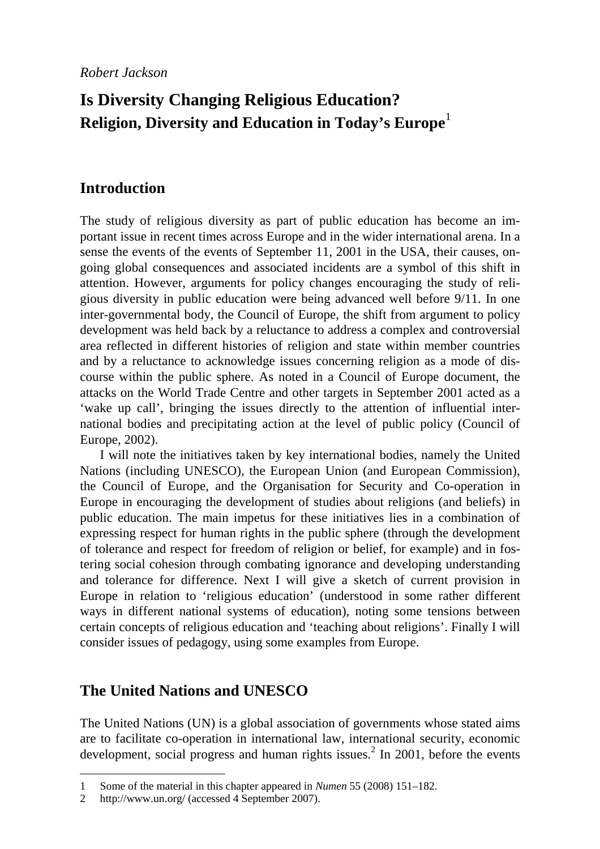# **Is Diversity Changing Religious Education? Religion, Diversity and Education in Today's Europe**<sup>1</sup>

## **Introduction**

The study of religious diversity as part of public education has become an important issue in recent times across Europe and in the wider international arena. In a sense the events of the events of September 11, 2001 in the USA, their causes, ongoing global consequences and associated incidents are a symbol of this shift in attention. However, arguments for policy changes encouraging the study of religious diversity in public education were being advanced well before 9/11. In one inter-governmental body, the Council of Europe, the shift from argument to policy development was held back by a reluctance to address a complex and controversial area reflected in different histories of religion and state within member countries and by a reluctance to acknowledge issues concerning religion as a mode of discourse within the public sphere. As noted in a Council of Europe document, the attacks on the World Trade Centre and other targets in September 2001 acted as a 'wake up call', bringing the issues directly to the attention of influential international bodies and precipitating action at the level of public policy (Council of Europe, 2002).

I will note the initiatives taken by key international bodies, namely the United Nations (including UNESCO), the European Union (and European Commission), the Council of Europe, and the Organisation for Security and Co-operation in Europe in encouraging the development of studies about religions (and beliefs) in public education. The main impetus for these initiatives lies in a combination of expressing respect for human rights in the public sphere (through the development of tolerance and respect for freedom of religion or belief, for example) and in fostering social cohesion through combating ignorance and developing understanding and tolerance for difference. Next I will give a sketch of current provision in Europe in relation to 'religious education' (understood in some rather different ways in different national systems of education), noting some tensions between certain concepts of religious education and 'teaching about religions'. Finally I will consider issues of pedagogy, using some examples from Europe.

## **The United Nations and UNESCO**

The United Nations (UN) is a global association of governments whose stated aims are to facilitate co-operation in international law, international security, economic development, social progress and human rights issues.<sup>2</sup> In 2001, before the events

<sup>1</sup> Some of the material in this chapter appeared in *Numen* 55 (2008) 151–182.

<sup>2</sup> http://www.un.org/ (accessed 4 September 2007).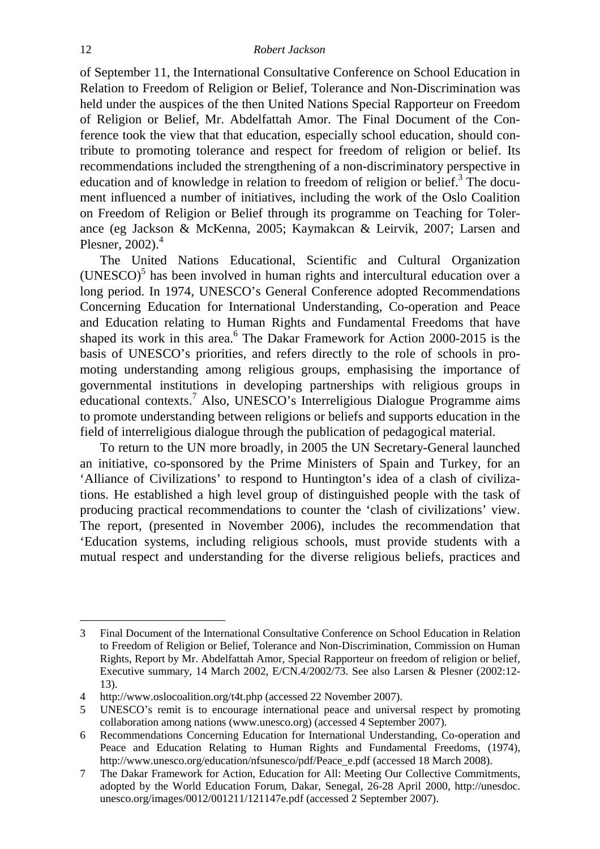of September 11, the International Consultative Conference on School Education in Relation to Freedom of Religion or Belief, Tolerance and Non-Discrimination was held under the auspices of the then United Nations Special Rapporteur on Freedom of Religion or Belief, Mr. Abdelfattah Amor. The Final Document of the Conference took the view that that education, especially school education, should contribute to promoting tolerance and respect for freedom of religion or belief. Its recommendations included the strengthening of a non-discriminatory perspective in education and of knowledge in relation to freedom of religion or belief.<sup>3</sup> The document influenced a number of initiatives, including the work of the Oslo Coalition on Freedom of Religion or Belief through its programme on Teaching for Tolerance (eg Jackson & McKenna, 2005; Kaymakcan & Leirvik, 2007; Larsen and Plesner,  $2002$ ). $4$ 

The United Nations Educational, Scientific and Cultural Organization  $(UNESCO)^5$  has been involved in human rights and intercultural education over a long period. In 1974, UNESCO's General Conference adopted Recommendations Concerning Education for International Understanding, Co-operation and Peace and Education relating to Human Rights and Fundamental Freedoms that have shaped its work in this area.<sup>6</sup> The Dakar Framework for Action 2000-2015 is the basis of UNESCO's priorities, and refers directly to the role of schools in promoting understanding among religious groups, emphasising the importance of governmental institutions in developing partnerships with religious groups in educational contexts.<sup>7</sup> Also, UNESCO's Interreligious Dialogue Programme aims to promote understanding between religions or beliefs and supports education in the field of interreligious dialogue through the publication of pedagogical material.

To return to the UN more broadly, in 2005 the UN Secretary-General launched an initiative, co-sponsored by the Prime Ministers of Spain and Turkey, for an 'Alliance of Civilizations' to respond to Huntington's idea of a clash of civilizations. He established a high level group of distinguished people with the task of producing practical recommendations to counter the 'clash of civilizations' view. The report, (presented in November 2006), includes the recommendation that 'Education systems, including religious schools, must provide students with a mutual respect and understanding for the diverse religious beliefs, practices and

<sup>3</sup> Final Document of the International Consultative Conference on School Education in Relation to Freedom of Religion or Belief, Tolerance and Non-Discrimination, Commission on Human Rights, Report by Mr. Abdelfattah Amor, Special Rapporteur on freedom of religion or belief, Executive summary, 14 March 2002, E/CN.4/2002/73. See also Larsen & Plesner (2002:12- 13).

<sup>4</sup> http://www.oslocoalition.org/t4t.php (accessed 22 November 2007).

<sup>5</sup> UNESCO's remit is to encourage international peace and universal respect by promoting collaboration among nations (www.unesco.org) (accessed 4 September 2007).

<sup>6</sup> Recommendations Concerning Education for International Understanding, Co-operation and Peace and Education Relating to Human Rights and Fundamental Freedoms, (1974), http://www.unesco.org/education/nfsunesco/pdf/Peace\_e.pdf (accessed 18 March 2008).

<sup>7</sup> The Dakar Framework for Action, Education for All: Meeting Our Collective Commitments, adopted by the World Education Forum, Dakar, Senegal, 26-28 April 2000, http://unesdoc. unesco.org/images/0012/001211/121147e.pdf (accessed 2 September 2007).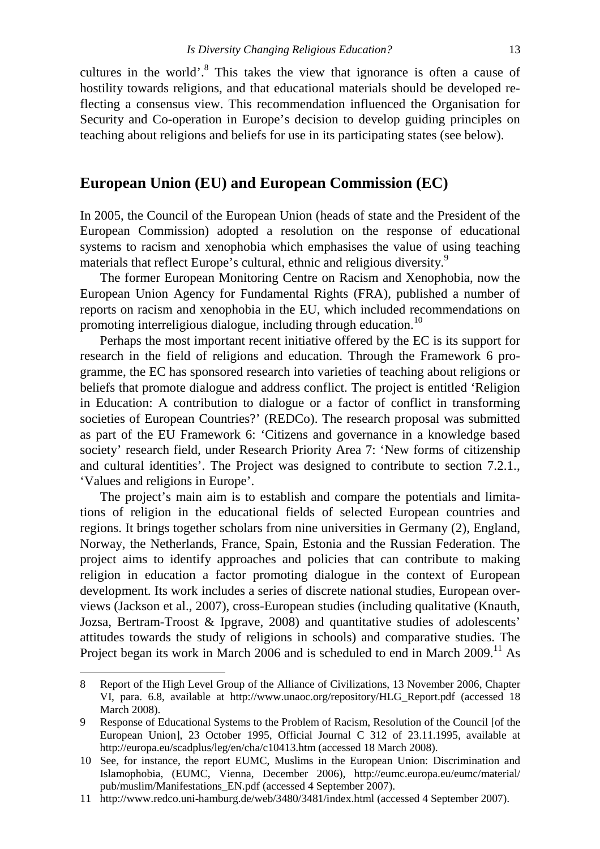cultures in the world'.<sup>8</sup> This takes the view that ignorance is often a cause of hostility towards religions, and that educational materials should be developed reflecting a consensus view. This recommendation influenced the Organisation for Security and Co-operation in Europe's decision to develop guiding principles on teaching about religions and beliefs for use in its participating states (see below).

### **European Union (EU) and European Commission (EC)**

In 2005, the Council of the European Union (heads of state and the President of the European Commission) adopted a resolution on the response of educational systems to racism and xenophobia which emphasises the value of using teaching materials that reflect Europe's cultural, ethnic and religious diversity.<sup>9</sup>

The former European Monitoring Centre on Racism and Xenophobia, now the European Union Agency for Fundamental Rights (FRA), published a number of reports on racism and xenophobia in the EU, which included recommendations on promoting interreligious dialogue, including through education.<sup>10</sup>

Perhaps the most important recent initiative offered by the EC is its support for research in the field of religions and education. Through the Framework 6 programme, the EC has sponsored research into varieties of teaching about religions or beliefs that promote dialogue and address conflict. The project is entitled 'Religion in Education: A contribution to dialogue or a factor of conflict in transforming societies of European Countries?' (REDCo). The research proposal was submitted as part of the EU Framework 6: 'Citizens and governance in a knowledge based society' research field, under Research Priority Area 7: 'New forms of citizenship and cultural identities'. The Project was designed to contribute to section 7.2.1., 'Values and religions in Europe'.

The project's main aim is to establish and compare the potentials and limitations of religion in the educational fields of selected European countries and regions. It brings together scholars from nine universities in Germany (2), England, Norway, the Netherlands, France, Spain, Estonia and the Russian Federation. The project aims to identify approaches and policies that can contribute to making religion in education a factor promoting dialogue in the context of European development. Its work includes a series of discrete national studies, European overviews (Jackson et al., 2007), cross-European studies (including qualitative (Knauth, Jozsa, Bertram-Troost & Ipgrave, 2008) and quantitative studies of adolescents' attitudes towards the study of religions in schools) and comparative studies. The Project began its work in March 2006 and is scheduled to end in March 2009.<sup>11</sup> As

<sup>8</sup> Report of the High Level Group of the Alliance of Civilizations, 13 November 2006, Chapter VI, para. 6.8, available at http://www.unaoc.org/repository/HLG\_Report.pdf (accessed 18 March 2008).

<sup>9</sup> Response of Educational Systems to the Problem of Racism, Resolution of the Council [of the European Union], 23 October 1995, Official Journal C 312 of 23.11.1995, available at http://europa.eu/scadplus/leg/en/cha/c10413.htm (accessed 18 March 2008).

<sup>10</sup> See, for instance, the report EUMC, Muslims in the European Union: Discrimination and Islamophobia, (EUMC, Vienna, December 2006), http://eumc.europa.eu/eumc/material/ pub/muslim/Manifestations\_EN.pdf (accessed 4 September 2007).

<sup>11</sup> http://www.redco.uni-hamburg.de/web/3480/3481/index.html (accessed 4 September 2007).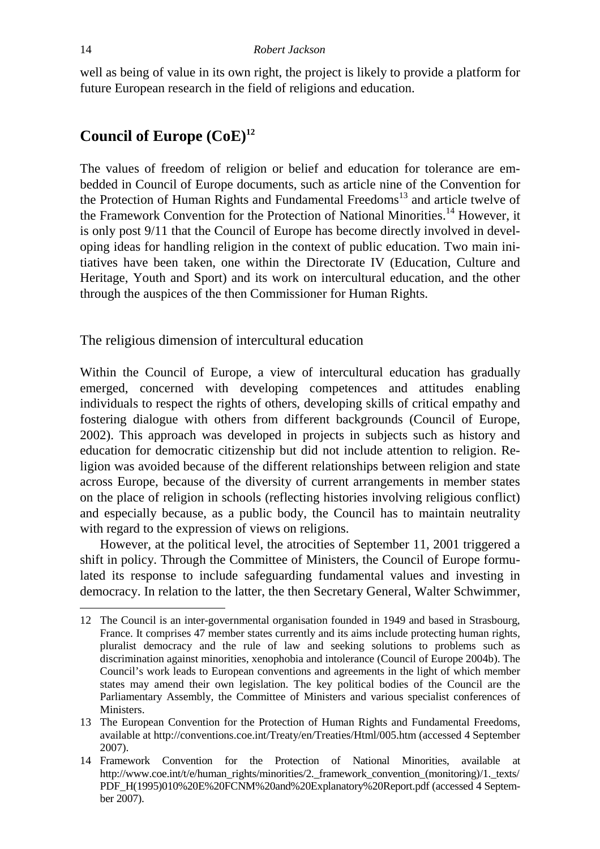well as being of value in its own right, the project is likely to provide a platform for future European research in the field of religions and education.

## **Council of Europe (CoE)12**

The values of freedom of religion or belief and education for tolerance are embedded in Council of Europe documents, such as article nine of the Convention for the Protection of Human Rights and Fundamental Freedoms<sup>13</sup> and article twelve of the Framework Convention for the Protection of National Minorities.<sup>14</sup> However, it is only post 9/11 that the Council of Europe has become directly involved in developing ideas for handling religion in the context of public education. Two main initiatives have been taken, one within the Directorate IV (Education, Culture and Heritage, Youth and Sport) and its work on intercultural education, and the other through the auspices of the then Commissioner for Human Rights.

The religious dimension of intercultural education

Within the Council of Europe, a view of intercultural education has gradually emerged, concerned with developing competences and attitudes enabling individuals to respect the rights of others, developing skills of critical empathy and fostering dialogue with others from different backgrounds (Council of Europe, 2002). This approach was developed in projects in subjects such as history and education for democratic citizenship but did not include attention to religion. Religion was avoided because of the different relationships between religion and state across Europe, because of the diversity of current arrangements in member states on the place of religion in schools (reflecting histories involving religious conflict) and especially because, as a public body, the Council has to maintain neutrality with regard to the expression of views on religions.

However, at the political level, the atrocities of September 11, 2001 triggered a shift in policy. Through the Committee of Ministers, the Council of Europe formulated its response to include safeguarding fundamental values and investing in democracy. In relation to the latter, the then Secretary General, Walter Schwimmer,

<sup>12</sup> The Council is an inter-governmental organisation founded in 1949 and based in Strasbourg, France. It comprises 47 member states currently and its aims include protecting human rights, pluralist democracy and the rule of law and seeking solutions to problems such as discrimination against minorities, xenophobia and intolerance (Council of Europe 2004b). The Council's work leads to European conventions and agreements in the light of which member states may amend their own legislation. The key political bodies of the Council are the Parliamentary Assembly, the Committee of Ministers and various specialist conferences of Ministers.

<sup>13</sup> The European Convention for the Protection of Human Rights and Fundamental Freedoms, available at http://conventions.coe.int/Treaty/en/Treaties/Html/005.htm (accessed 4 September 2007).

<sup>14</sup> Framework Convention for the Protection of National Minorities, available at http://www.coe.int/t/e/human\_rights/minorities/2.\_framework\_convention\_(monitoring)/1.\_texts/ PDF\_H(1995)010%20E%20FCNM%20and%20Explanatory%20Report.pdf (accessed 4 September 2007).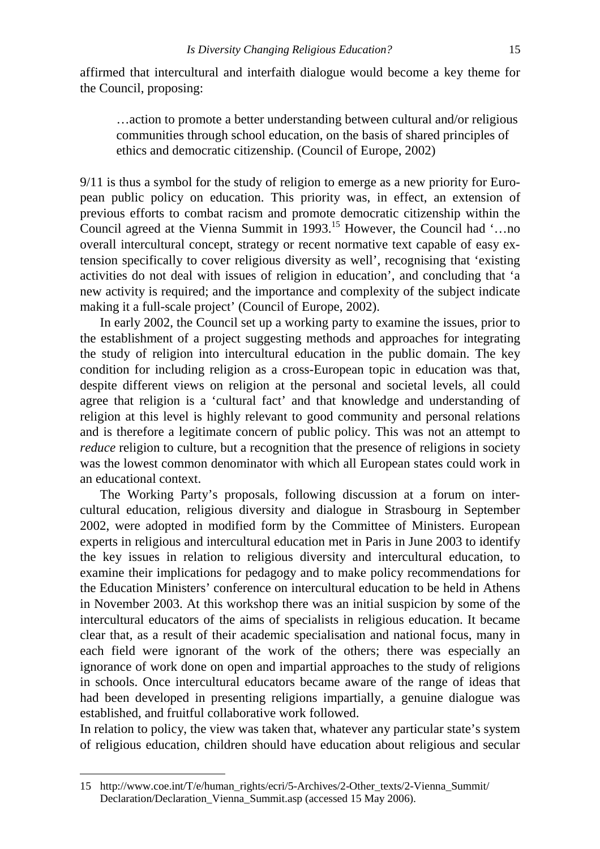affirmed that intercultural and interfaith dialogue would become a key theme for the Council, proposing:

…action to promote a better understanding between cultural and/or religious communities through school education, on the basis of shared principles of ethics and democratic citizenship. (Council of Europe, 2002)

9/11 is thus a symbol for the study of religion to emerge as a new priority for European public policy on education. This priority was, in effect, an extension of previous efforts to combat racism and promote democratic citizenship within the Council agreed at the Vienna Summit in 1993.15 However, the Council had '…no overall intercultural concept, strategy or recent normative text capable of easy extension specifically to cover religious diversity as well', recognising that 'existing activities do not deal with issues of religion in education', and concluding that 'a new activity is required; and the importance and complexity of the subject indicate making it a full-scale project' (Council of Europe, 2002).

In early 2002, the Council set up a working party to examine the issues, prior to the establishment of a project suggesting methods and approaches for integrating the study of religion into intercultural education in the public domain. The key condition for including religion as a cross-European topic in education was that, despite different views on religion at the personal and societal levels, all could agree that religion is a 'cultural fact' and that knowledge and understanding of religion at this level is highly relevant to good community and personal relations and is therefore a legitimate concern of public policy. This was not an attempt to *reduce* religion to culture, but a recognition that the presence of religions in society was the lowest common denominator with which all European states could work in an educational context.

The Working Party's proposals, following discussion at a forum on intercultural education, religious diversity and dialogue in Strasbourg in September 2002, were adopted in modified form by the Committee of Ministers. European experts in religious and intercultural education met in Paris in June 2003 to identify the key issues in relation to religious diversity and intercultural education, to examine their implications for pedagogy and to make policy recommendations for the Education Ministers' conference on intercultural education to be held in Athens in November 2003. At this workshop there was an initial suspicion by some of the intercultural educators of the aims of specialists in religious education. It became clear that, as a result of their academic specialisation and national focus, many in each field were ignorant of the work of the others; there was especially an ignorance of work done on open and impartial approaches to the study of religions in schools. Once intercultural educators became aware of the range of ideas that had been developed in presenting religions impartially, a genuine dialogue was established, and fruitful collaborative work followed.

In relation to policy, the view was taken that, whatever any particular state's system of religious education, children should have education about religious and secular

<sup>15</sup> http://www.coe.int/T/e/human\_rights/ecri/5-Archives/2-Other\_texts/2-Vienna\_Summit/ Declaration/Declaration\_Vienna\_Summit.asp (accessed 15 May 2006).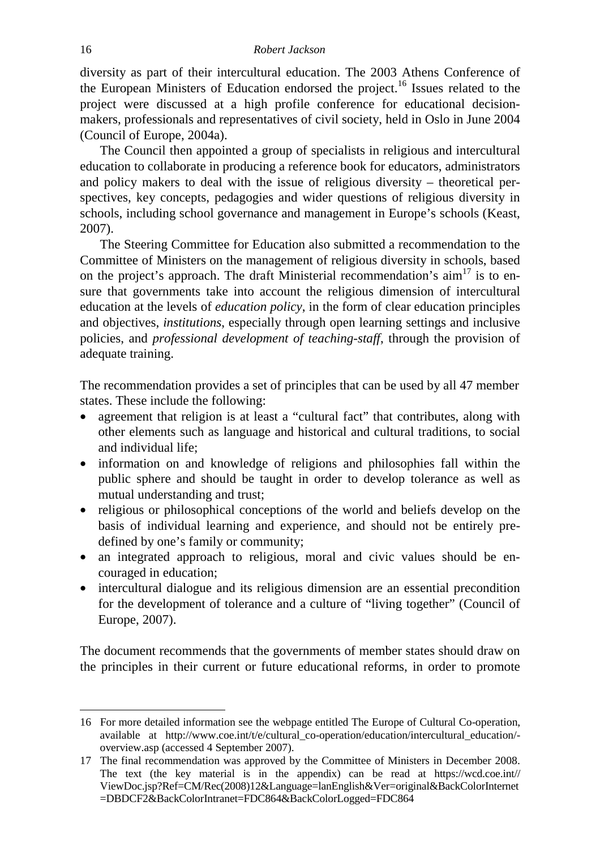diversity as part of their intercultural education. The 2003 Athens Conference of the European Ministers of Education endorsed the project.16 Issues related to the project were discussed at a high profile conference for educational decisionmakers, professionals and representatives of civil society, held in Oslo in June 2004 (Council of Europe, 2004a).

The Council then appointed a group of specialists in religious and intercultural education to collaborate in producing a reference book for educators, administrators and policy makers to deal with the issue of religious diversity – theoretical perspectives, key concepts, pedagogies and wider questions of religious diversity in schools, including school governance and management in Europe's schools (Keast, 2007).

The Steering Committee for Education also submitted a recommendation to the Committee of Ministers on the management of religious diversity in schools, based on the project's approach. The draft Ministerial recommendation's  $\text{aim}^{17}$  is to ensure that governments take into account the religious dimension of intercultural education at the levels of *education policy*, in the form of clear education principles and objectives, *institutions*, especially through open learning settings and inclusive policies, and *professional development of teaching-staff*, through the provision of adequate training.

The recommendation provides a set of principles that can be used by all 47 member states. These include the following:

- agreement that religion is at least a "cultural fact" that contributes, along with other elements such as language and historical and cultural traditions, to social and individual life;
- information on and knowledge of religions and philosophies fall within the public sphere and should be taught in order to develop tolerance as well as mutual understanding and trust;
- religious or philosophical conceptions of the world and beliefs develop on the basis of individual learning and experience, and should not be entirely predefined by one's family or community;
- an integrated approach to religious, moral and civic values should be encouraged in education;
- intercultural dialogue and its religious dimension are an essential precondition for the development of tolerance and a culture of "living together" (Council of Europe, 2007).

The document recommends that the governments of member states should draw on the principles in their current or future educational reforms, in order to promote

<sup>16</sup> For more detailed information see the webpage entitled The Europe of Cultural Co-operation, available at http://www.coe.int/t/e/cultural co-operation/education/intercultural education/overview.asp (accessed 4 September 2007).

<sup>17</sup> The final recommendation was approved by the Committee of Ministers in December 2008. The text (the key material is in the appendix) can be read at https://wcd.coe.int// ViewDoc.jsp?Ref=CM/Rec(2008)12&Language=lanEnglish&Ver=original&BackColorInternet =DBDCF2&BackColorIntranet=FDC864&BackColorLogged=FDC864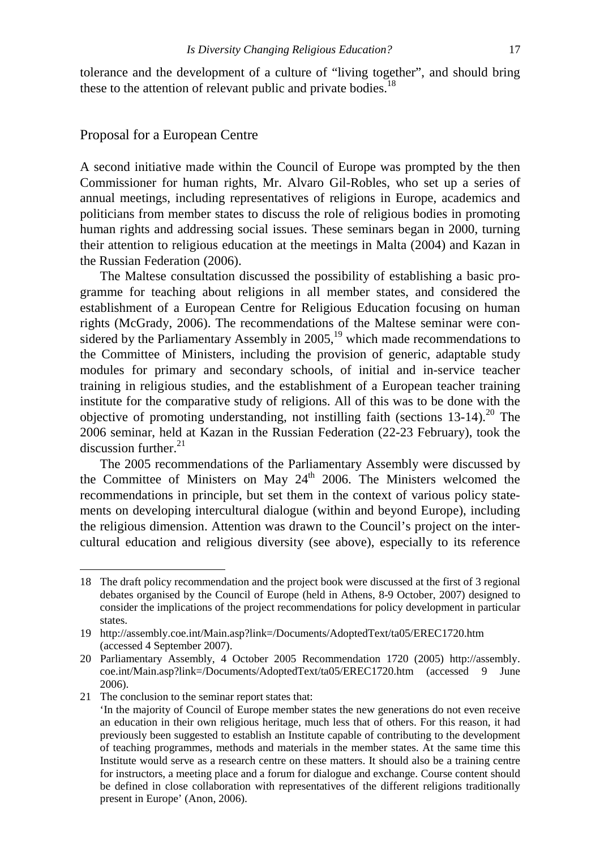tolerance and the development of a culture of "living together", and should bring these to the attention of relevant public and private bodies.<sup>18</sup>

#### Proposal for a European Centre

A second initiative made within the Council of Europe was prompted by the then Commissioner for human rights, Mr. Alvaro Gil-Robles, who set up a series of annual meetings, including representatives of religions in Europe, academics and politicians from member states to discuss the role of religious bodies in promoting human rights and addressing social issues. These seminars began in 2000, turning their attention to religious education at the meetings in Malta (2004) and Kazan in the Russian Federation (2006).

The Maltese consultation discussed the possibility of establishing a basic programme for teaching about religions in all member states, and considered the establishment of a European Centre for Religious Education focusing on human rights (McGrady, 2006). The recommendations of the Maltese seminar were considered by the Parliamentary Assembly in  $2005$ ,<sup>19</sup> which made recommendations to the Committee of Ministers, including the provision of generic, adaptable study modules for primary and secondary schools, of initial and in-service teacher training in religious studies, and the establishment of a European teacher training institute for the comparative study of religions. All of this was to be done with the objective of promoting understanding, not instilling faith (sections  $13-14$ ).<sup>20</sup> The 2006 seminar, held at Kazan in the Russian Federation (22-23 February), took the discussion further. $21$ 

The 2005 recommendations of the Parliamentary Assembly were discussed by the Committee of Ministers on May  $24<sup>th</sup>$  2006. The Ministers welcomed the recommendations in principle, but set them in the context of various policy statements on developing intercultural dialogue (within and beyond Europe), including the religious dimension. Attention was drawn to the Council's project on the intercultural education and religious diversity (see above), especially to its reference

<sup>18</sup> The draft policy recommendation and the project book were discussed at the first of 3 regional debates organised by the Council of Europe (held in Athens, 8-9 October, 2007) designed to consider the implications of the project recommendations for policy development in particular states.

<sup>19</sup> http://assembly.coe.int/Main.asp?link=/Documents/AdoptedText/ta05/EREC1720.htm (accessed 4 September 2007).

<sup>20</sup> Parliamentary Assembly, 4 October 2005 Recommendation 1720 (2005) http://assembly. coe.int/Main.asp?link=/Documents/AdoptedText/ta05/EREC1720.htm (accessed 9 June 2006).

<sup>21</sup> The conclusion to the seminar report states that:

 <sup>&#</sup>x27;In the majority of Council of Europe member states the new generations do not even receive an education in their own religious heritage, much less that of others. For this reason, it had previously been suggested to establish an Institute capable of contributing to the development of teaching programmes, methods and materials in the member states. At the same time this Institute would serve as a research centre on these matters. It should also be a training centre for instructors, a meeting place and a forum for dialogue and exchange. Course content should be defined in close collaboration with representatives of the different religions traditionally present in Europe' (Anon, 2006).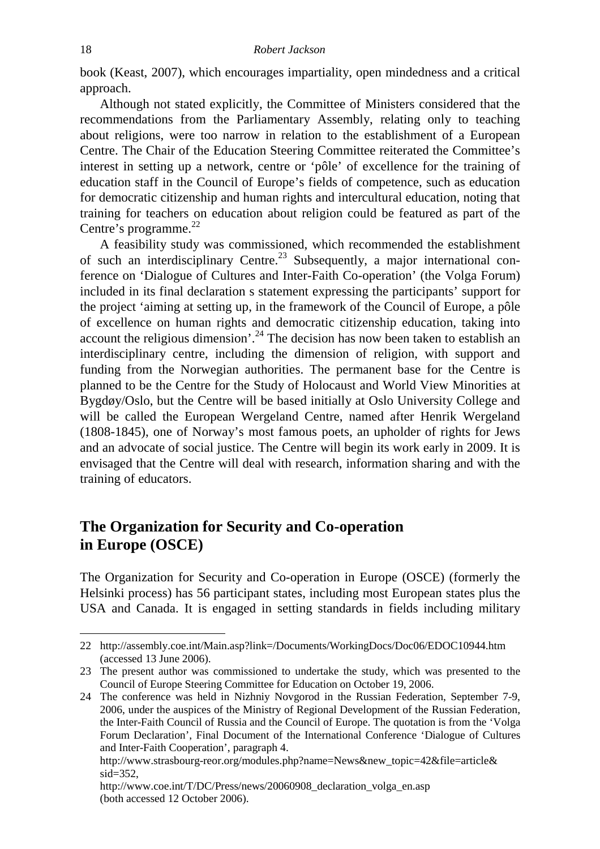book (Keast, 2007), which encourages impartiality, open mindedness and a critical approach.

Although not stated explicitly, the Committee of Ministers considered that the recommendations from the Parliamentary Assembly, relating only to teaching about religions, were too narrow in relation to the establishment of a European Centre. The Chair of the Education Steering Committee reiterated the Committee's interest in setting up a network, centre or 'pôle' of excellence for the training of education staff in the Council of Europe's fields of competence, such as education for democratic citizenship and human rights and intercultural education, noting that training for teachers on education about religion could be featured as part of the Centre's programme. $^{22}$ 

A feasibility study was commissioned, which recommended the establishment of such an interdisciplinary Centre.<sup>23</sup> Subsequently, a major international conference on 'Dialogue of Cultures and Inter-Faith Co-operation' (the Volga Forum) included in its final declaration s statement expressing the participants' support for the project 'aiming at setting up, in the framework of the Council of Europe, a pôle of excellence on human rights and democratic citizenship education, taking into account the religious dimension'.<sup>24</sup> The decision has now been taken to establish an interdisciplinary centre, including the dimension of religion, with support and funding from the Norwegian authorities. The permanent base for the Centre is planned to be the Centre for the Study of Holocaust and World View Minorities at Bygdøy/Oslo, but the Centre will be based initially at Oslo University College and will be called the European Wergeland Centre, named after Henrik Wergeland (1808-1845), one of Norway's most famous poets, an upholder of rights for Jews and an advocate of social justice. The Centre will begin its work early in 2009. It is envisaged that the Centre will deal with research, information sharing and with the training of educators.

## **The Organization for Security and Co-operation in Europe (OSCE)**

The Organization for Security and Co-operation in Europe (OSCE) (formerly the Helsinki process) has 56 participant states, including most European states plus the USA and Canada. It is engaged in setting standards in fields including military

<sup>22</sup> http://assembly.coe.int/Main.asp?link=/Documents/WorkingDocs/Doc06/EDOC10944.htm (accessed 13 June 2006).

<sup>23</sup> The present author was commissioned to undertake the study, which was presented to the Council of Europe Steering Committee for Education on October 19, 2006.

<sup>24</sup> The conference was held in Nizhniy Novgorod in the Russian Federation, September 7-9, 2006, under the auspices of the Ministry of Regional Development of the Russian Federation, the Inter-Faith Council of Russia and the Council of Europe. The quotation is from the 'Volga Forum Declaration', Final Document of the International Conference 'Dialogue of Cultures and Inter-Faith Cooperation', paragraph 4.

http://www.strasbourg-reor.org/modules.php?name=News&new\_topic=42&file=article& sid=352,

http://www.coe.int/T/DC/Press/news/20060908\_declaration\_volga\_en.asp (both accessed 12 October 2006).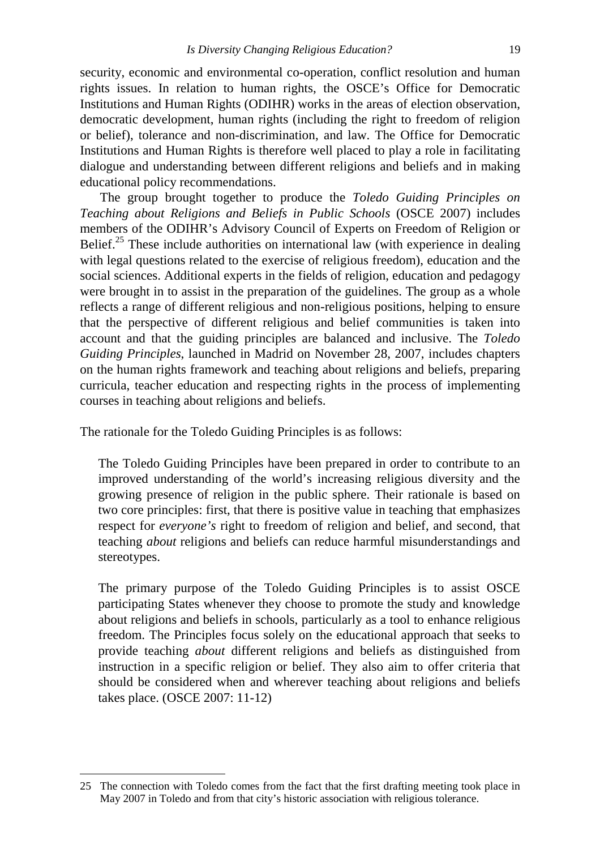security, economic and environmental co-operation, conflict resolution and human rights issues. In relation to human rights, the OSCE's Office for Democratic Institutions and Human Rights (ODIHR) works in the areas of election observation, democratic development, human rights (including the right to freedom of religion or belief), tolerance and non-discrimination, and law. The Office for Democratic Institutions and Human Rights is therefore well placed to play a role in facilitating dialogue and understanding between different religions and beliefs and in making educational policy recommendations.

The group brought together to produce the *Toledo Guiding Principles on Teaching about Religions and Beliefs in Public Schools* (OSCE 2007) includes members of the ODIHR's Advisory Council of Experts on Freedom of Religion or Belief.<sup>25</sup> These include authorities on international law (with experience in dealing with legal questions related to the exercise of religious freedom), education and the social sciences. Additional experts in the fields of religion, education and pedagogy were brought in to assist in the preparation of the guidelines. The group as a whole reflects a range of different religious and non-religious positions, helping to ensure that the perspective of different religious and belief communities is taken into account and that the guiding principles are balanced and inclusive. The *Toledo Guiding Principles*, launched in Madrid on November 28, 2007, includes chapters on the human rights framework and teaching about religions and beliefs, preparing curricula, teacher education and respecting rights in the process of implementing courses in teaching about religions and beliefs.

The rationale for the Toledo Guiding Principles is as follows:

The Toledo Guiding Principles have been prepared in order to contribute to an improved understanding of the world's increasing religious diversity and the growing presence of religion in the public sphere. Their rationale is based on two core principles: first, that there is positive value in teaching that emphasizes respect for *everyone's* right to freedom of religion and belief, and second, that teaching *about* religions and beliefs can reduce harmful misunderstandings and stereotypes.

The primary purpose of the Toledo Guiding Principles is to assist OSCE participating States whenever they choose to promote the study and knowledge about religions and beliefs in schools, particularly as a tool to enhance religious freedom. The Principles focus solely on the educational approach that seeks to provide teaching *about* different religions and beliefs as distinguished from instruction in a specific religion or belief. They also aim to offer criteria that should be considered when and wherever teaching about religions and beliefs takes place. (OSCE 2007: 11-12)

<sup>25</sup> The connection with Toledo comes from the fact that the first drafting meeting took place in May 2007 in Toledo and from that city's historic association with religious tolerance.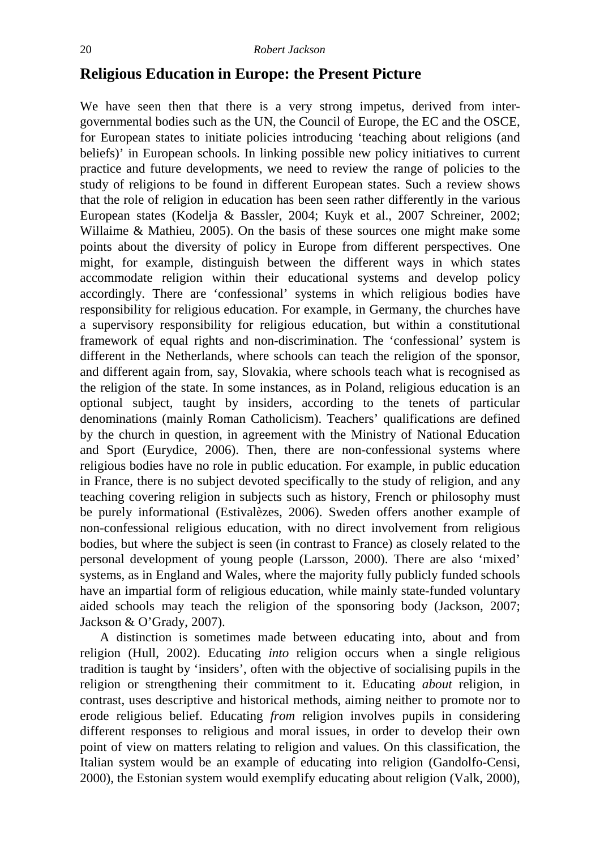#### **Religious Education in Europe: the Present Picture**

We have seen then that there is a very strong impetus, derived from intergovernmental bodies such as the UN, the Council of Europe, the EC and the OSCE, for European states to initiate policies introducing 'teaching about religions (and beliefs)' in European schools. In linking possible new policy initiatives to current practice and future developments, we need to review the range of policies to the study of religions to be found in different European states. Such a review shows that the role of religion in education has been seen rather differently in the various European states (Kodelja & Bassler, 2004; Kuyk et al., 2007 Schreiner, 2002; Willaime & Mathieu, 2005). On the basis of these sources one might make some points about the diversity of policy in Europe from different perspectives. One might, for example, distinguish between the different ways in which states accommodate religion within their educational systems and develop policy accordingly. There are 'confessional' systems in which religious bodies have responsibility for religious education. For example, in Germany, the churches have a supervisory responsibility for religious education, but within a constitutional framework of equal rights and non-discrimination. The 'confessional' system is different in the Netherlands, where schools can teach the religion of the sponsor, and different again from, say, Slovakia, where schools teach what is recognised as the religion of the state. In some instances, as in Poland, religious education is an optional subject, taught by insiders, according to the tenets of particular denominations (mainly Roman Catholicism). Teachers' qualifications are defined by the church in question, in agreement with the Ministry of National Education and Sport (Eurydice, 2006). Then, there are non-confessional systems where religious bodies have no role in public education. For example, in public education in France, there is no subject devoted specifically to the study of religion, and any teaching covering religion in subjects such as history, French or philosophy must be purely informational (Estivalèzes, 2006). Sweden offers another example of non-confessional religious education, with no direct involvement from religious bodies, but where the subject is seen (in contrast to France) as closely related to the personal development of young people (Larsson, 2000). There are also 'mixed' systems, as in England and Wales, where the majority fully publicly funded schools have an impartial form of religious education, while mainly state-funded voluntary aided schools may teach the religion of the sponsoring body (Jackson, 2007; Jackson & O'Grady, 2007).

A distinction is sometimes made between educating into, about and from religion (Hull, 2002). Educating *into* religion occurs when a single religious tradition is taught by 'insiders', often with the objective of socialising pupils in the religion or strengthening their commitment to it. Educating *about* religion, in contrast, uses descriptive and historical methods, aiming neither to promote nor to erode religious belief. Educating *from* religion involves pupils in considering different responses to religious and moral issues, in order to develop their own point of view on matters relating to religion and values. On this classification, the Italian system would be an example of educating into religion (Gandolfo-Censi, 2000), the Estonian system would exemplify educating about religion (Valk, 2000),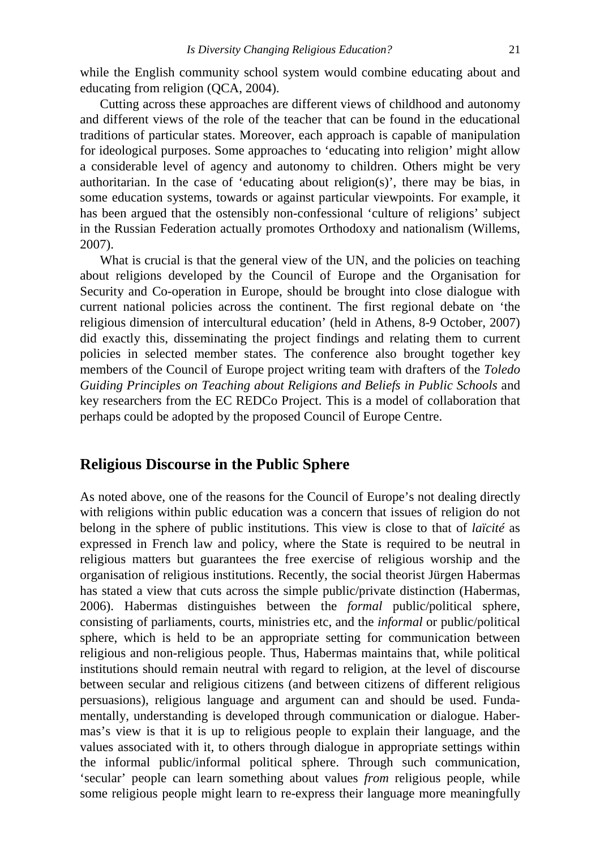while the English community school system would combine educating about and educating from religion (QCA, 2004).

Cutting across these approaches are different views of childhood and autonomy and different views of the role of the teacher that can be found in the educational traditions of particular states. Moreover, each approach is capable of manipulation for ideological purposes. Some approaches to 'educating into religion' might allow a considerable level of agency and autonomy to children. Others might be very authoritarian. In the case of 'educating about religion(s)', there may be bias, in some education systems, towards or against particular viewpoints. For example, it has been argued that the ostensibly non-confessional 'culture of religions' subject in the Russian Federation actually promotes Orthodoxy and nationalism (Willems, 2007).

What is crucial is that the general view of the UN, and the policies on teaching about religions developed by the Council of Europe and the Organisation for Security and Co-operation in Europe, should be brought into close dialogue with current national policies across the continent. The first regional debate on 'the religious dimension of intercultural education' (held in Athens, 8-9 October, 2007) did exactly this, disseminating the project findings and relating them to current policies in selected member states. The conference also brought together key members of the Council of Europe project writing team with drafters of the *Toledo Guiding Principles on Teaching about Religions and Beliefs in Public Schools* and key researchers from the EC REDCo Project. This is a model of collaboration that perhaps could be adopted by the proposed Council of Europe Centre.

#### **Religious Discourse in the Public Sphere**

As noted above, one of the reasons for the Council of Europe's not dealing directly with religions within public education was a concern that issues of religion do not belong in the sphere of public institutions. This view is close to that of *laïcité* as expressed in French law and policy, where the State is required to be neutral in religious matters but guarantees the free exercise of religious worship and the organisation of religious institutions. Recently, the social theorist Jürgen Habermas has stated a view that cuts across the simple public/private distinction (Habermas, 2006). Habermas distinguishes between the *formal* public/political sphere, consisting of parliaments, courts, ministries etc, and the *informal* or public/political sphere, which is held to be an appropriate setting for communication between religious and non-religious people. Thus, Habermas maintains that, while political institutions should remain neutral with regard to religion, at the level of discourse between secular and religious citizens (and between citizens of different religious persuasions), religious language and argument can and should be used. Fundamentally, understanding is developed through communication or dialogue. Habermas's view is that it is up to religious people to explain their language, and the values associated with it, to others through dialogue in appropriate settings within the informal public/informal political sphere. Through such communication, 'secular' people can learn something about values *from* religious people, while some religious people might learn to re-express their language more meaningfully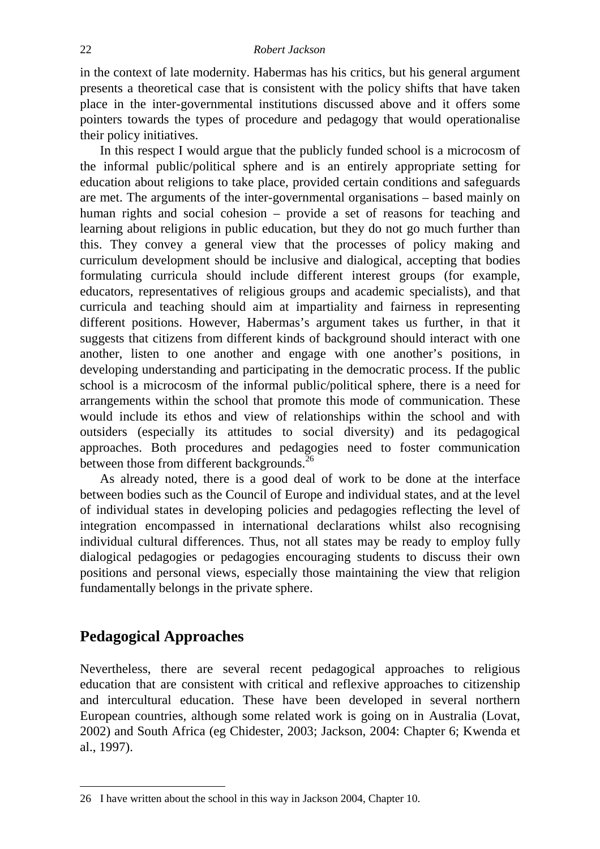in the context of late modernity. Habermas has his critics, but his general argument presents a theoretical case that is consistent with the policy shifts that have taken place in the inter-governmental institutions discussed above and it offers some pointers towards the types of procedure and pedagogy that would operationalise their policy initiatives.

In this respect I would argue that the publicly funded school is a microcosm of the informal public/political sphere and is an entirely appropriate setting for education about religions to take place, provided certain conditions and safeguards are met. The arguments of the inter-governmental organisations – based mainly on human rights and social cohesion – provide a set of reasons for teaching and learning about religions in public education, but they do not go much further than this. They convey a general view that the processes of policy making and curriculum development should be inclusive and dialogical, accepting that bodies formulating curricula should include different interest groups (for example, educators, representatives of religious groups and academic specialists), and that curricula and teaching should aim at impartiality and fairness in representing different positions. However, Habermas's argument takes us further, in that it suggests that citizens from different kinds of background should interact with one another, listen to one another and engage with one another's positions, in developing understanding and participating in the democratic process. If the public school is a microcosm of the informal public/political sphere, there is a need for arrangements within the school that promote this mode of communication. These would include its ethos and view of relationships within the school and with outsiders (especially its attitudes to social diversity) and its pedagogical approaches. Both procedures and pedagogies need to foster communication between those from different backgrounds.<sup>26</sup>

As already noted, there is a good deal of work to be done at the interface between bodies such as the Council of Europe and individual states, and at the level of individual states in developing policies and pedagogies reflecting the level of integration encompassed in international declarations whilst also recognising individual cultural differences. Thus, not all states may be ready to employ fully dialogical pedagogies or pedagogies encouraging students to discuss their own positions and personal views, especially those maintaining the view that religion fundamentally belongs in the private sphere.

#### **Pedagogical Approaches**

 $\overline{a}$ 

Nevertheless, there are several recent pedagogical approaches to religious education that are consistent with critical and reflexive approaches to citizenship and intercultural education. These have been developed in several northern European countries, although some related work is going on in Australia (Lovat, 2002) and South Africa (eg Chidester, 2003; Jackson, 2004: Chapter 6; Kwenda et al., 1997).

<sup>26</sup> I have written about the school in this way in Jackson 2004, Chapter 10.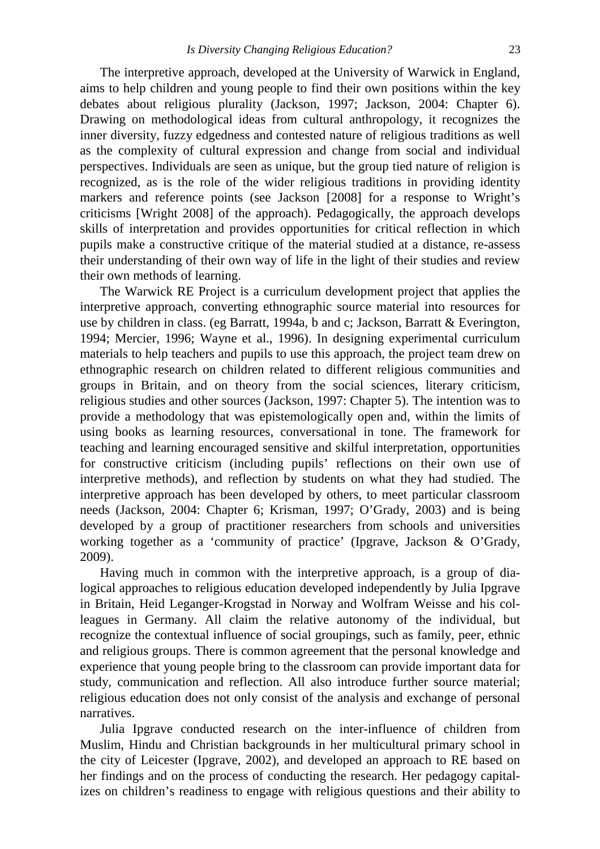The interpretive approach, developed at the University of Warwick in England, aims to help children and young people to find their own positions within the key debates about religious plurality (Jackson, 1997; Jackson, 2004: Chapter 6). Drawing on methodological ideas from cultural anthropology, it recognizes the inner diversity, fuzzy edgedness and contested nature of religious traditions as well as the complexity of cultural expression and change from social and individual perspectives. Individuals are seen as unique, but the group tied nature of religion is recognized, as is the role of the wider religious traditions in providing identity markers and reference points (see Jackson [2008] for a response to Wright's criticisms [Wright 2008] of the approach). Pedagogically, the approach develops skills of interpretation and provides opportunities for critical reflection in which pupils make a constructive critique of the material studied at a distance, re-assess their understanding of their own way of life in the light of their studies and review their own methods of learning.

The Warwick RE Project is a curriculum development project that applies the interpretive approach, converting ethnographic source material into resources for use by children in class. (eg Barratt, 1994a, b and c; Jackson, Barratt & Everington, 1994; Mercier, 1996; Wayne et al., 1996). In designing experimental curriculum materials to help teachers and pupils to use this approach, the project team drew on ethnographic research on children related to different religious communities and groups in Britain, and on theory from the social sciences, literary criticism, religious studies and other sources (Jackson, 1997: Chapter 5). The intention was to provide a methodology that was epistemologically open and, within the limits of using books as learning resources, conversational in tone. The framework for teaching and learning encouraged sensitive and skilful interpretation, opportunities for constructive criticism (including pupils' reflections on their own use of interpretive methods), and reflection by students on what they had studied. The interpretive approach has been developed by others, to meet particular classroom needs (Jackson, 2004: Chapter 6; Krisman, 1997; O'Grady, 2003) and is being developed by a group of practitioner researchers from schools and universities working together as a 'community of practice' (Ipgrave, Jackson & O'Grady, 2009).

Having much in common with the interpretive approach, is a group of dialogical approaches to religious education developed independently by Julia Ipgrave in Britain, Heid Leganger-Krogstad in Norway and Wolfram Weisse and his colleagues in Germany. All claim the relative autonomy of the individual, but recognize the contextual influence of social groupings, such as family, peer, ethnic and religious groups. There is common agreement that the personal knowledge and experience that young people bring to the classroom can provide important data for study, communication and reflection. All also introduce further source material; religious education does not only consist of the analysis and exchange of personal narratives.

Julia Ipgrave conducted research on the inter-influence of children from Muslim, Hindu and Christian backgrounds in her multicultural primary school in the city of Leicester (Ipgrave, 2002), and developed an approach to RE based on her findings and on the process of conducting the research. Her pedagogy capitalizes on children's readiness to engage with religious questions and their ability to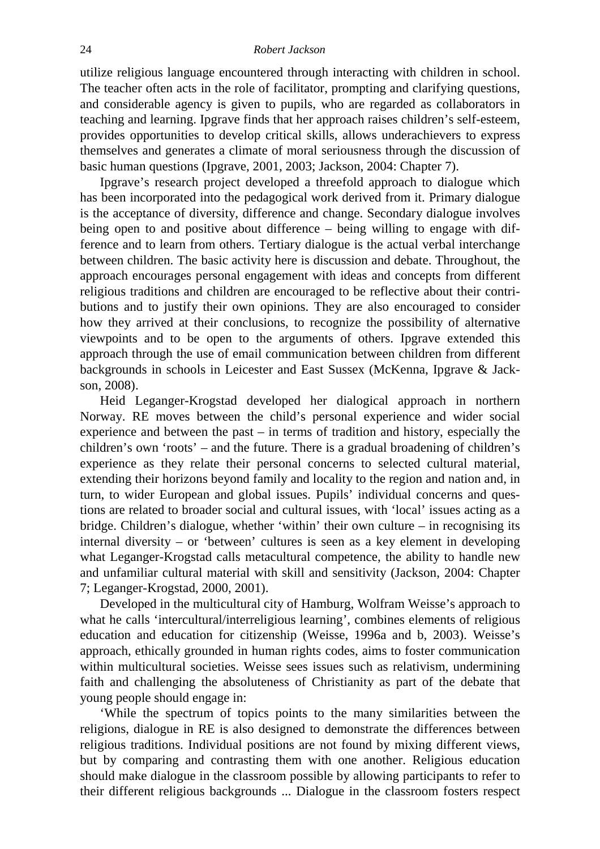#### 24 *Robert Jackson*

utilize religious language encountered through interacting with children in school. The teacher often acts in the role of facilitator, prompting and clarifying questions, and considerable agency is given to pupils, who are regarded as collaborators in teaching and learning. Ipgrave finds that her approach raises children's self-esteem, provides opportunities to develop critical skills, allows underachievers to express themselves and generates a climate of moral seriousness through the discussion of basic human questions (Ipgrave, 2001, 2003; Jackson, 2004: Chapter 7).

Ipgrave's research project developed a threefold approach to dialogue which has been incorporated into the pedagogical work derived from it. Primary dialogue is the acceptance of diversity, difference and change. Secondary dialogue involves being open to and positive about difference – being willing to engage with difference and to learn from others. Tertiary dialogue is the actual verbal interchange between children. The basic activity here is discussion and debate. Throughout, the approach encourages personal engagement with ideas and concepts from different religious traditions and children are encouraged to be reflective about their contributions and to justify their own opinions. They are also encouraged to consider how they arrived at their conclusions, to recognize the possibility of alternative viewpoints and to be open to the arguments of others. Ipgrave extended this approach through the use of email communication between children from different backgrounds in schools in Leicester and East Sussex (McKenna, Ipgrave & Jackson, 2008).

Heid Leganger-Krogstad developed her dialogical approach in northern Norway. RE moves between the child's personal experience and wider social experience and between the past – in terms of tradition and history, especially the children's own 'roots' – and the future. There is a gradual broadening of children's experience as they relate their personal concerns to selected cultural material, extending their horizons beyond family and locality to the region and nation and, in turn, to wider European and global issues. Pupils' individual concerns and questions are related to broader social and cultural issues, with 'local' issues acting as a bridge. Children's dialogue, whether 'within' their own culture – in recognising its internal diversity – or 'between' cultures is seen as a key element in developing what Leganger-Krogstad calls metacultural competence, the ability to handle new and unfamiliar cultural material with skill and sensitivity (Jackson, 2004: Chapter 7; Leganger-Krogstad, 2000, 2001).

Developed in the multicultural city of Hamburg, Wolfram Weisse's approach to what he calls 'intercultural/interreligious learning', combines elements of religious education and education for citizenship (Weisse, 1996a and b, 2003). Weisse's approach, ethically grounded in human rights codes, aims to foster communication within multicultural societies. Weisse sees issues such as relativism, undermining faith and challenging the absoluteness of Christianity as part of the debate that young people should engage in:

'While the spectrum of topics points to the many similarities between the religions, dialogue in RE is also designed to demonstrate the differences between religious traditions. Individual positions are not found by mixing different views, but by comparing and contrasting them with one another. Religious education should make dialogue in the classroom possible by allowing participants to refer to their different religious backgrounds ... Dialogue in the classroom fosters respect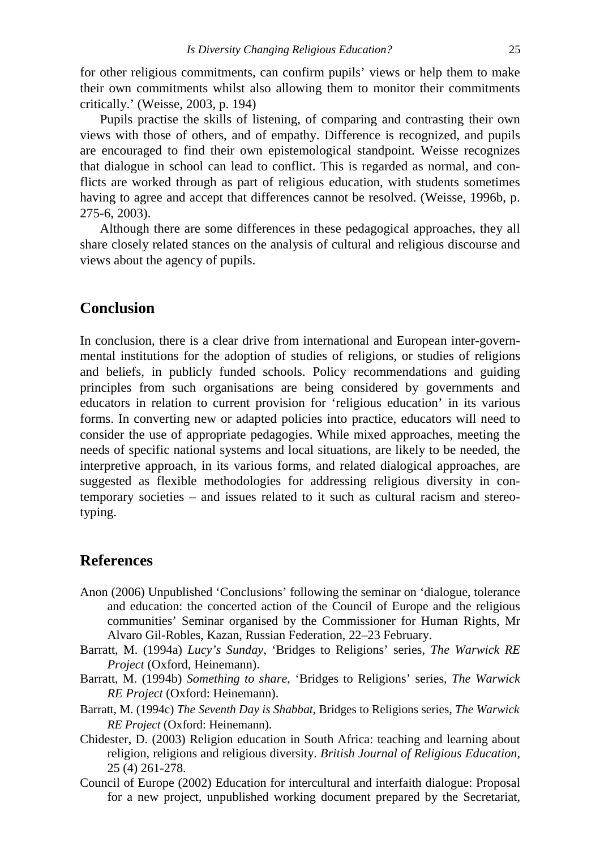for other religious commitments, can confirm pupils' views or help them to make their own commitments whilst also allowing them to monitor their commitments critically.' (Weisse, 2003, p. 194)

Pupils practise the skills of listening, of comparing and contrasting their own views with those of others, and of empathy. Difference is recognized, and pupils are encouraged to find their own epistemological standpoint. Weisse recognizes that dialogue in school can lead to conflict. This is regarded as normal, and conflicts are worked through as part of religious education, with students sometimes having to agree and accept that differences cannot be resolved. (Weisse, 1996b, p. 275-6, 2003).

Although there are some differences in these pedagogical approaches, they all share closely related stances on the analysis of cultural and religious discourse and views about the agency of pupils.

#### **Conclusion**

In conclusion, there is a clear drive from international and European inter-governmental institutions for the adoption of studies of religions, or studies of religions and beliefs, in publicly funded schools. Policy recommendations and guiding principles from such organisations are being considered by governments and educators in relation to current provision for 'religious education' in its various forms. In converting new or adapted policies into practice, educators will need to consider the use of appropriate pedagogies. While mixed approaches, meeting the needs of specific national systems and local situations, are likely to be needed, the interpretive approach, in its various forms, and related dialogical approaches, are suggested as flexible methodologies for addressing religious diversity in contemporary societies – and issues related to it such as cultural racism and stereotyping.

#### **References**

- Anon (2006) Unpublished 'Conclusions' following the seminar on 'dialogue, tolerance and education: the concerted action of the Council of Europe and the religious communities' Seminar organised by the Commissioner for Human Rights, Mr Alvaro Gil-Robles, Kazan, Russian Federation, 22–23 February.
- Barratt, M. (1994a) *Lucy's Sunday*, 'Bridges to Religions' series, *The Warwick RE Project* (Oxford, Heinemann).
- Barratt, M. (1994b) *Something to share*, 'Bridges to Religions' series, *The Warwick RE Project* (Oxford: Heinemann).
- Barratt, M. (1994c) *The Seventh Day is Shabbat*, Bridges to Religions series, *The Warwick RE Project* (Oxford: Heinemann).
- Chidester, D. (2003) Religion education in South Africa: teaching and learning about religion, religions and religious diversity. *British Journal of Religious Education,* 25 (4) 261-278.
- Council of Europe (2002) Education for intercultural and interfaith dialogue: Proposal for a new project, unpublished working document prepared by the Secretariat,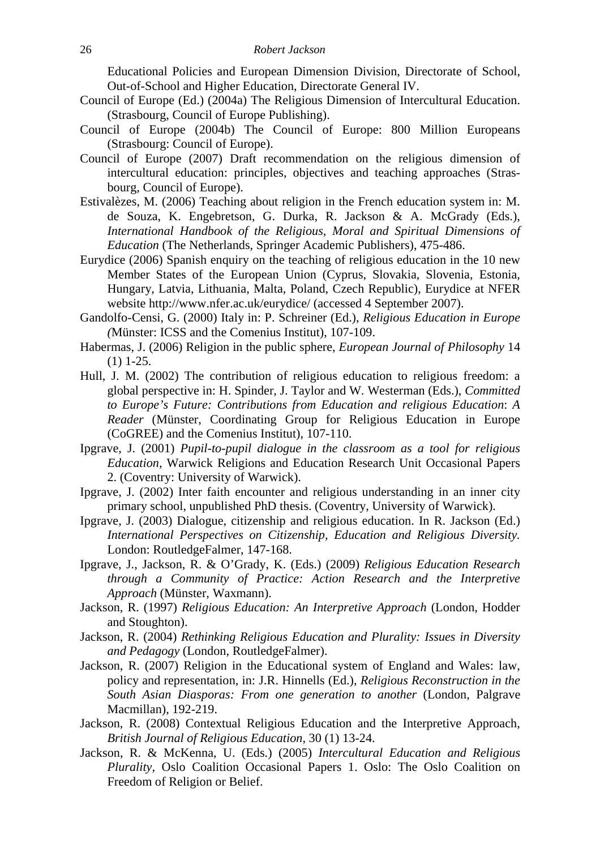Educational Policies and European Dimension Division, Directorate of School, Out-of-School and Higher Education, Directorate General IV.

- Council of Europe (Ed.) (2004a) The Religious Dimension of Intercultural Education. (Strasbourg, Council of Europe Publishing).
- Council of Europe (2004b) The Council of Europe: 800 Million Europeans (Strasbourg: Council of Europe).
- Council of Europe (2007) Draft recommendation on the religious dimension of intercultural education: principles, objectives and teaching approaches (Strasbourg, Council of Europe).
- Estivalèzes, M. (2006) Teaching about religion in the French education system in: M. de Souza, K. Engebretson, G. Durka, R. Jackson & A. McGrady (Eds.), *International Handbook of the Religious, Moral and Spiritual Dimensions of Education* (The Netherlands, Springer Academic Publishers), 475-486.
- Eurydice (2006) Spanish enquiry on the teaching of religious education in the 10 new Member States of the European Union (Cyprus, Slovakia, Slovenia, Estonia, Hungary, Latvia, Lithuania, Malta, Poland, Czech Republic), Eurydice at NFER website http://www.nfer.ac.uk/eurydice/ (accessed 4 September 2007).
- Gandolfo-Censi, G. (2000) Italy in: P. Schreiner (Ed.), *Religious Education in Europe (*Münster: ICSS and the Comenius Institut), 107-109.
- Habermas, J. (2006) Religion in the public sphere, *European Journal of Philosophy* 14 (1) 1-25.
- Hull, J. M. (2002) The contribution of religious education to religious freedom: a global perspective in: H. Spinder, J. Taylor and W. Westerman (Eds.), *Committed to Europe's Future: Contributions from Education and religious Education*: *A Reader* (Münster, Coordinating Group for Religious Education in Europe (CoGREE) and the Comenius Institut), 107-110.
- Ipgrave, J. (2001) *Pupil-to-pupil dialogue in the classroom as a tool for religious Education,* Warwick Religions and Education Research Unit Occasional Papers 2. (Coventry: University of Warwick).
- Ipgrave, J. (2002) Inter faith encounter and religious understanding in an inner city primary school, unpublished PhD thesis. (Coventry, University of Warwick).
- Ipgrave, J. (2003) Dialogue, citizenship and religious education. In R. Jackson (Ed.) *International Perspectives on Citizenship, Education and Religious Diversity.* London: RoutledgeFalmer, 147-168.
- Ipgrave, J., Jackson, R. & O'Grady, K. (Eds.) (2009) *Religious Education Research through a Community of Practice: Action Research and the Interpretive Approach* (Münster, Waxmann).
- Jackson, R. (1997) *Religious Education: An Interpretive Approach* (London, Hodder and Stoughton).
- Jackson, R. (2004) *Rethinking Religious Education and Plurality: Issues in Diversity and Pedagogy* (London, RoutledgeFalmer).
- Jackson, R. (2007) Religion in the Educational system of England and Wales: law, policy and representation, in: J.R. Hinnells (Ed.), *Religious Reconstruction in the South Asian Diasporas: From one generation to another* (London, Palgrave Macmillan), 192-219.
- Jackson, R. (2008) Contextual Religious Education and the Interpretive Approach, *British Journal of Religious Education*, 30 (1) 13-24.
- Jackson, R. & McKenna, U. (Eds.) (2005) *Intercultural Education and Religious Plurality,* Oslo Coalition Occasional Papers 1. Oslo: The Oslo Coalition on Freedom of Religion or Belief.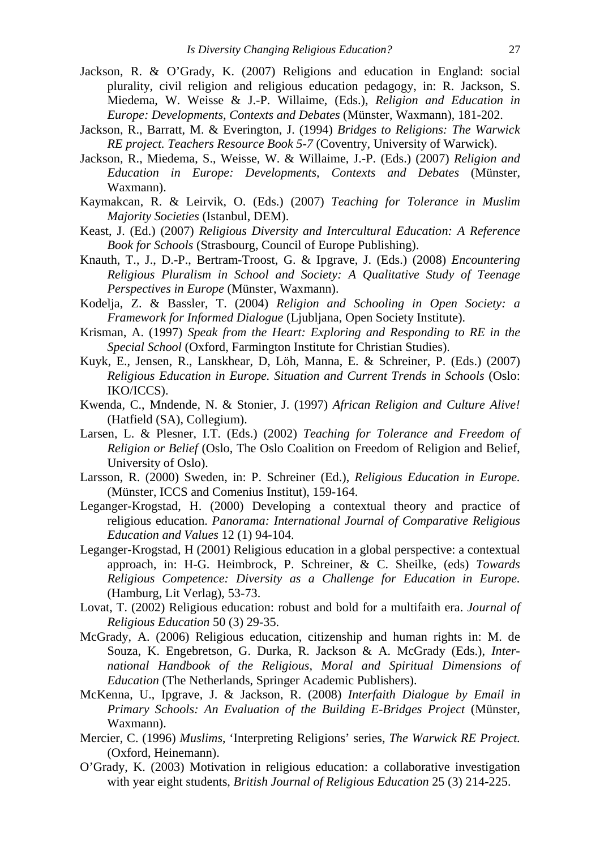- Jackson, R. & O'Grady, K. (2007) Religions and education in England: social plurality, civil religion and religious education pedagogy, in: R. Jackson, S. Miedema, W. Weisse & J.-P. Willaime, (Eds.), *Religion and Education in Europe: Developments, Contexts and Debates* (Münster, Waxmann), 181-202.
- Jackson, R., Barratt, M. & Everington, J. (1994) *Bridges to Religions: The Warwick RE project. Teachers Resource Book 5-7* (Coventry, University of Warwick).
- Jackson, R., Miedema, S., Weisse, W. & Willaime, J.-P. (Eds.) (2007) *Religion and Education in Europe: Developments, Contexts and Debates* (Münster, Waxmann).
- Kaymakcan, R. & Leirvik, O. (Eds.) (2007) *Teaching for Tolerance in Muslim Majority Societies* (Istanbul, DEM).
- Keast, J. (Ed.) (2007) *Religious Diversity and Intercultural Education: A Reference Book for Schools* (Strasbourg, Council of Europe Publishing).
- Knauth, T., J., D.-P., Bertram-Troost, G. & Ipgrave, J. (Eds.) (2008) *Encountering Religious Pluralism in School and Society: A Qualitative Study of Teenage Perspectives in Europe* (Münster, Waxmann).
- Kodelja, Z. & Bassler, T. (2004) *Religion and Schooling in Open Society: a Framework for Informed Dialogue* (Ljubljana, Open Society Institute).
- Krisman, A. (1997) *Speak from the Heart: Exploring and Responding to RE in the Special School* (Oxford, Farmington Institute for Christian Studies).
- Kuyk, E., Jensen, R., Lanskhear, D, Löh, Manna, E. & Schreiner, P. (Eds.) (2007) *Religious Education in Europe. Situation and Current Trends in Schools* (Oslo: IKO/ICCS).
- Kwenda, C., Mndende, N. & Stonier, J. (1997) *African Religion and Culture Alive!*  (Hatfield (SA), Collegium).
- Larsen, L. & Plesner, I.T. (Eds.) (2002) *Teaching for Tolerance and Freedom of Religion or Belief* (Oslo, The Oslo Coalition on Freedom of Religion and Belief, University of Oslo).
- Larsson, R. (2000) Sweden, in: P. Schreiner (Ed.), *Religious Education in Europe.* (Münster, ICCS and Comenius Institut), 159-164.
- Leganger-Krogstad, H. (2000) Developing a contextual theory and practice of religious education. *Panorama: International Journal of Comparative Religious Education and Values* 12 (1) 94-104.
- Leganger-Krogstad, H (2001) Religious education in a global perspective: a contextual approach, in: H-G. Heimbrock, P. Schreiner, & C. Sheilke, (eds) *Towards Religious Competence: Diversity as a Challenge for Education in Europe.* (Hamburg, Lit Verlag), 53-73.
- Lovat, T. (2002) Religious education: robust and bold for a multifaith era. *Journal of Religious Education* 50 (3) 29-35.
- McGrady, A. (2006) Religious education, citizenship and human rights in: M. de Souza, K. Engebretson, G. Durka, R. Jackson & A. McGrady (Eds.), *International Handbook of the Religious, Moral and Spiritual Dimensions of Education* (The Netherlands, Springer Academic Publishers).
- McKenna, U., Ipgrave, J. & Jackson, R. (2008) *Interfaith Dialogue by Email in Primary Schools: An Evaluation of the Building E-Bridges Project* (Münster, Waxmann).
- Mercier, C. (1996) *Muslims*, 'Interpreting Religions' series, *The Warwick RE Project.* (Oxford, Heinemann).
- O'Grady, K. (2003) Motivation in religious education: a collaborative investigation with year eight students, *British Journal of Religious Education* 25 (3) 214-225.